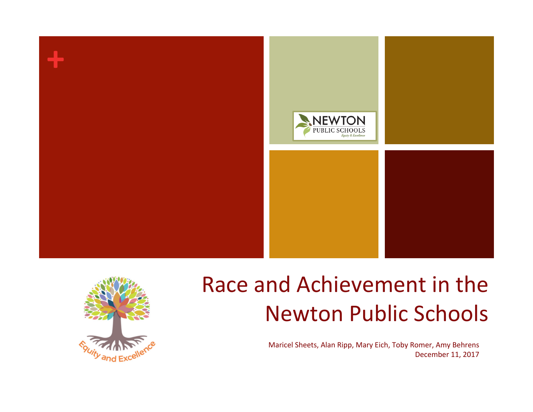



#### Race and Achievement in the **Newton Public Schools**

Maricel Sheets, Alan Ripp, Mary Eich, Toby Romer, Amy Behrens December 11, 2017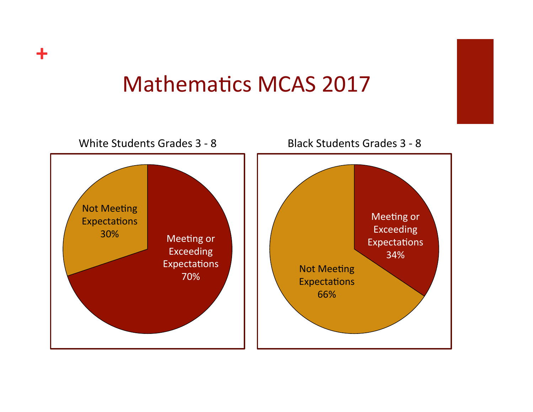#### Mathematics MCAS 2017

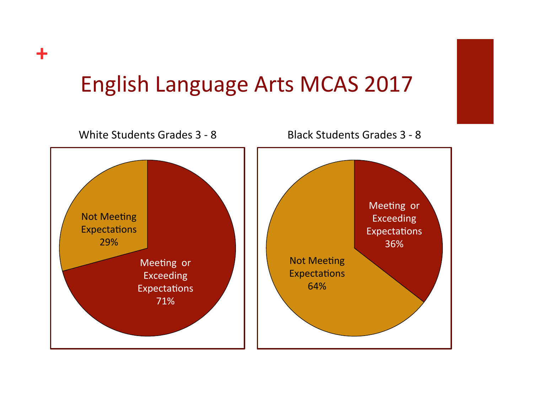#### English Language Arts MCAS 2017

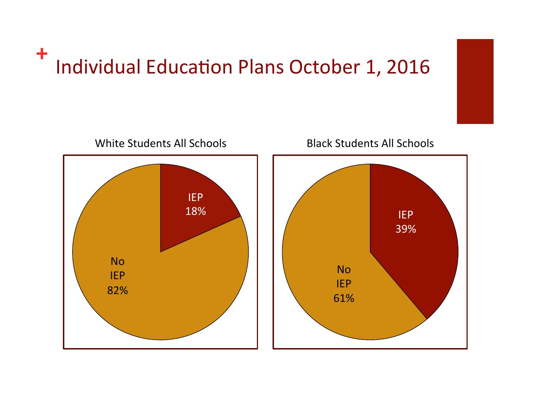## <sup>+</sup> Individual Education Plans October 1, 2016

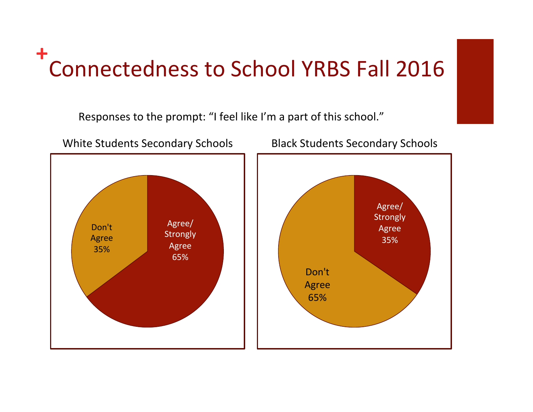# **<sup>+</sup>**Connectedness to School YRBS Fall 2016

Responses to the prompt: "I feel like I'm a part of this school."



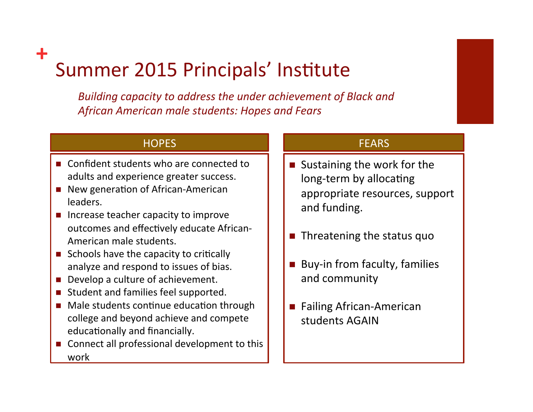#### **+**  Summer 2015 Principals' Institute

*Building capacity to address the under achievement of Black and* African American male students: Hopes and Fears

#### HOPES **FEARS**

- $\blacksquare$  Confident students who are connected to adults and experience greater success.
- $\blacksquare$  New generation of African-American leaders.
- $\blacksquare$  Increase teacher capacity to improve outcomes and effectively educate African-American male students.
- Schools have the capacity to critically analyze and respond to issues of bias.
- $\blacksquare$  Develop a culture of achievement.
- Student and families feel supported.
- $\blacksquare$  Male students continue education through college and beyond achieve and compete educationally and financially.
- $\blacksquare$  Connect all professional development to this work

- $\blacksquare$  Sustaining the work for the long-term by allocating appropriate resources, support and funding.
- $\blacksquare$  Threatening the status quo
- $\blacksquare$  Buy-in from faculty, families and community
- Failing African-American students AGAIN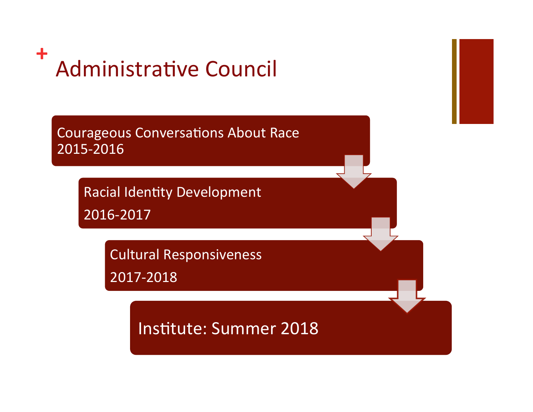

Courageous Conversations About Race 2015-2016 

> Racial Identity Development 2016-2017

> > **Cultural Responsiveness** 2017-2018

> > > Institute: Summer 2018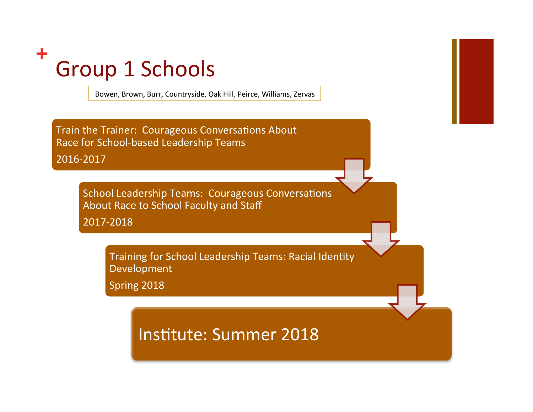## **+** Group 1 Schools

Bowen, Brown, Burr, Countryside, Oak Hill, Peirce, Williams, Zervas

Train the Trainer: Courageous Conversations About Race for School-based Leadership Teams

2016-2017 

School Leadership Teams: Courageous Conversations About Race to School Faculty and Staff

2017-2018 

Training for School Leadership Teams: Racial Identity Development 

Spring 2018

#### Institute: Summer 2018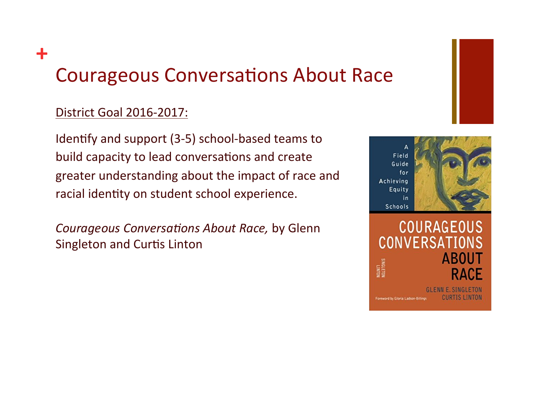### Courageous Conversations About Race

#### District Goal 2016-2017:

**+** 

Identify and support (3-5) school-based teams to build capacity to lead conversations and create greater understanding about the impact of race and racial identity on student school experience.

*Courageous Conversations About Race, by Glenn* Singleton and Curtis Linton



**COURAGEOUS** CONVERSATIO **ABOUT** TINGLETON<br>12013 **GLENN E SINGLETON** 

**Enrewhell by Ginela Ladson-R**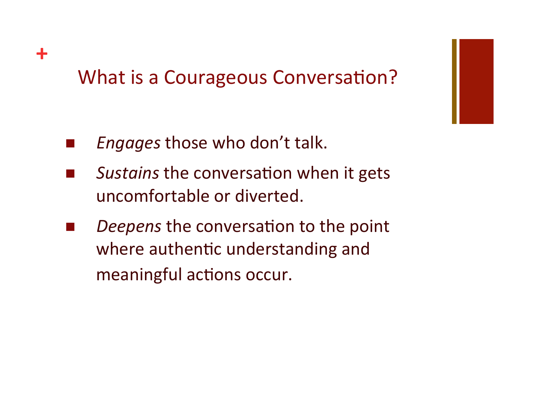#### What is a Courageous Conversation?

*Engages* those who don't talk.

- **Sustains the conversation when it gets** uncomfortable or diverted.
- *Deepens* the conversation to the point where authentic understanding and meaningful actions occur.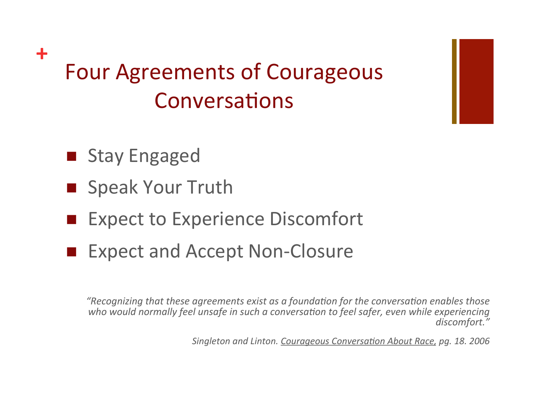### Four Agreements of Courageous Conversations

■ Stay Engaged

**+** 

- Speak Your Truth
- **Expect to Experience Discomfort**
- **Expect and Accept Non-Closure**

*"Recognizing that these agreements exist as a foundation for the conversation enables those* who would normally feel unsafe in such a conversation to feel safer, even while experiencing *discomfort."* 

*Singleton and Linton. Courageous Conversation About Race, pg. 18. 2006*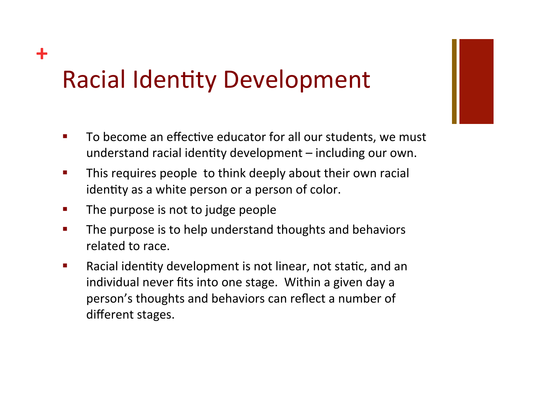## Racial Identity Development

- To become an effective educator for all our students, we must understand racial identity development  $-$  including our own.
- This requires people to think deeply about their own racial identity as a white person or a person of color.
- **•** The purpose is not to judge people

- **•** The purpose is to help understand thoughts and behaviors related to race.
- **•** Racial identity development is not linear, not static, and an individual never fits into one stage. Within a given day a person's thoughts and behaviors can reflect a number of different stages.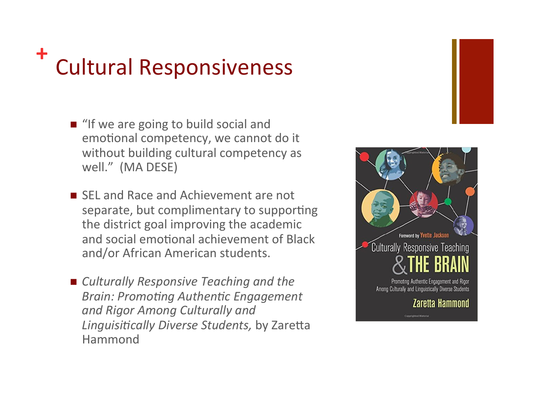## **<sup>+</sup>**Cultural Responsiveness

- "If we are going to build social and emotional competency, we cannot do it without building cultural competency as well." (MA DESE)
- SEL and Race and Achievement are not separate, but complimentary to supporting the district goal improving the academic and social emotional achievement of Black and/or African American students.
- *Culturally Responsive Teaching and the* **Brain: Promoting Authentic Engagement** *and Rigor Among Culturally and*  Linguisitically Diverse Students, by Zaretta Hammond

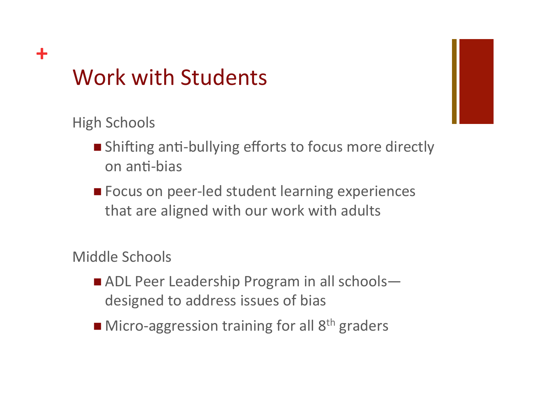#### Work with Students

High Schools 

**+** 

- Shifting anti-bullying efforts to focus more directly on anti-bias
- Focus on peer-led student learning experiences that are aligned with our work with adults

Middle Schools

- ADL Peer Leadership Program in all schools designed to address issues of bias
- $\blacksquare$  Micro-aggression training for all  $8<sup>th</sup>$  graders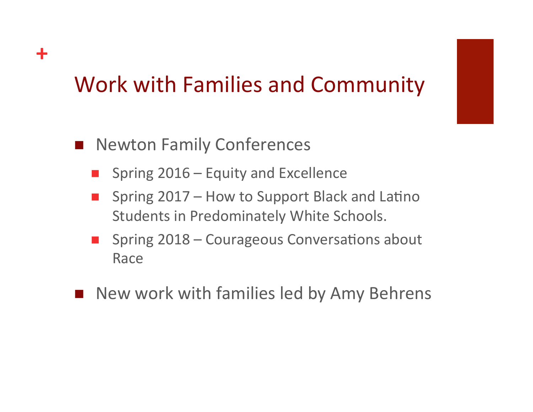#### Work with Families and Community

**Newton Family Conferences** 

- Spring  $2016$  Equity and Excellence
- **n** Spring  $2017$  How to Support Black and Latino Students in Predominately White Schools.
- Spring  $2018$  Courageous Conversations about Race
- New work with families led by Amy Behrens